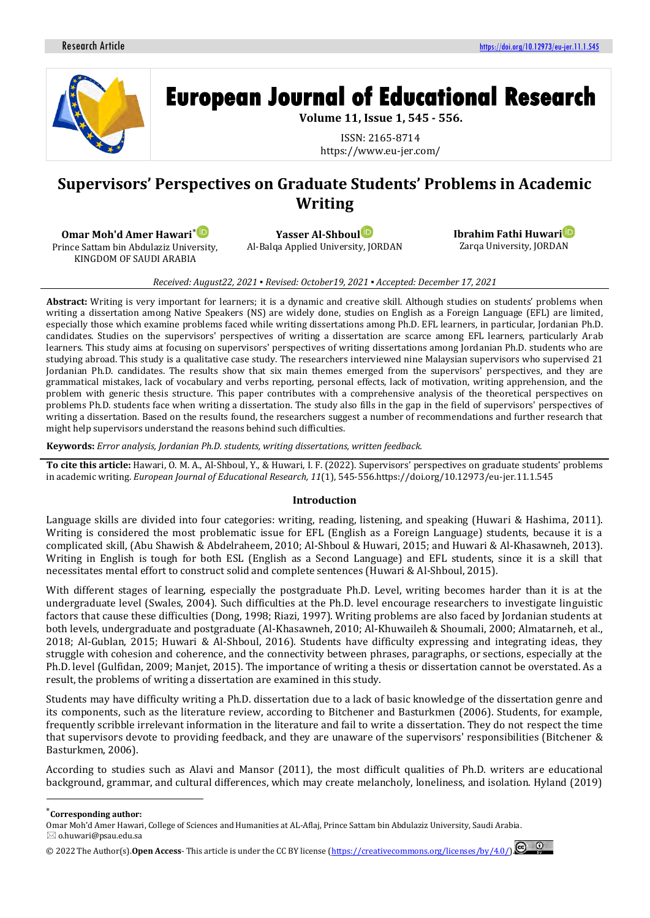

# **Supervisors' Perspectives on Graduate Students' Problems in Academic Writing**

**Omar Moh'd Amer Hawari**\*

Prince Sattam bin Abdulaziz University, KINGDOM OF SAUDI ARABIA

**Yasser Al-Shbou[l](https://orcid.org/0000-0002-1085-040X)**

Al-Balqa Applied University, JORDAN

**Ibrahim Fathi Huwar[i](https://orcid.org/0000-0002-9463-4244)** Zarqa University, JORDAN

*Received: August22, 2021 ▪ Revised: October19, 2021 ▪ Accepted: December 17, 2021*

**Abstract:** Writing is very important for learners; it is a dynamic and creative skill. Although studies on students' problems when writing a dissertation among Native Speakers (NS) are widely done, studies on English as a Foreign Language (EFL) are limited, especially those which examine problems faced while writing dissertations among Ph.D. EFL learners, in particular, Jordanian Ph.D. candidates. Studies on the supervisors' perspectives of writing a dissertation are scarce among EFL learners, particularly Arab learners. This study aims at focusing on supervisors' perspectives of writing dissertations among Jordanian Ph.D. students who are studying abroad. This study is a qualitative case study. The researchers interviewed nine Malaysian supervisors who supervised 21 Jordanian Ph.D. candidates. The results show that six main themes emerged from the supervisors' perspectives, and they are grammatical mistakes, lack of vocabulary and verbs reporting, personal effects, lack of motivation, writing apprehension, and the problem with generic thesis structure. This paper contributes with a comprehensive analysis of the theoretical perspectives on problems Ph.D. students face when writing a dissertation. The study also fills in the gap in the field of supervisors' perspectives of writing a dissertation. Based on the results found, the researchers suggest a number of recommendations and further research that might help supervisors understand the reasons behind such difficulties.

**Keywords:** *Error analysis, Jordanian Ph.D. students, writing dissertations, written feedback.*

**To cite this article:** Hawari, O. M. A., Al-Shboul, Y., & Huwari, I. F. (2022). Supervisors' perspectives on graduate students' problems in academic writing. *European Journal of Educational Research, 11*(1), 545-556.https://doi.org/10.12973/eu-jer.11.1.545

## **Introduction**

Language skills are divided into four categories: writing, reading, listening, and speaking (Huwari & Hashima, 2011). Writing is considered the most problematic issue for EFL (English as a Foreign Language) students, because it is a complicated skill, (Abu Shawish & Abdelraheem, 2010; Al-Shboul & Huwari, 2015; and Huwari & Al-Khasawneh, 2013). Writing in English is tough for both ESL (English as a Second Language) and EFL students, since it is a skill that necessitates mental effort to construct solid and complete sentences (Huwari & Al-Shboul, 2015).

With different stages of learning, especially the postgraduate Ph.D. Level, writing becomes harder than it is at the undergraduate level (Swales, 2004). Such difficulties at the Ph.D. level encourage researchers to investigate linguistic factors that cause these difficulties (Dong, 1998; Riazi, 1997). Writing problems are also faced by Jordanian students at both levels, undergraduate and postgraduate (Al-Khasawneh, 2010; Al-Khuwaileh & Shoumali, 2000; Almatarneh, et al., 2018; Al-Gublan, 2015; Huwari & Al-Shboul, 2016). Students have difficulty expressing and integrating ideas, they struggle with cohesion and coherence, and the connectivity between phrases, paragraphs, or sections, especially at the Ph.D. level (Gulfidan, 2009; Manjet, 2015). The importance of writing a thesis or dissertation cannot be overstated. As a result, the problems of writing a dissertation are examined in this study.

Students may have difficulty writing a Ph.D. dissertation due to a lack of basic knowledge of the dissertation genre and its components, such as the literature review, according to Bitchener and Basturkmen (2006). Students, for example, frequently scribble irrelevant information in the literature and fail to write a dissertation. They do not respect the time that supervisors devote to providing feedback, and they are unaware of the supervisors' responsibilities (Bitchener & Basturkmen, 2006).

According to studies such as Alavi and Mansor (2011), the most difficult qualities of Ph.D. writers are educational background, grammar, and cultural differences, which may create melancholy, loneliness, and isolation. Hyland (2019)

<sup>\*</sup>**Corresponding author:**

Omar Moh'd Amer Hawari, College of Sciences and Humanities at AL-Aflaj, Prince Sattam bin Abdulaziz University, Saudi Arabia.  $\boxtimes$  o.huwari@psau.edu.sa

<sup>© 20</sup>22 The Author(s).**Open Access**- This article is under the CC BY license [\(https://creativecommons.org/licenses/by/4.0/\)](https://creativecommons.org/licenses/by/4.0/).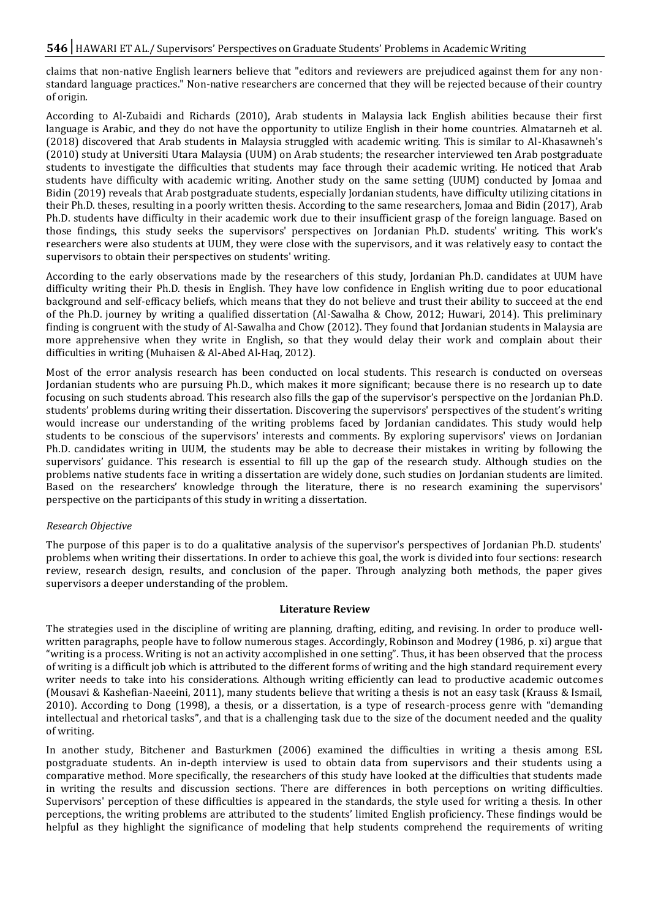claims that non-native English learners believe that "editors and reviewers are prejudiced against them for any nonstandard language practices." Non-native researchers are concerned that they will be rejected because of their country of origin.

According to Al-Zubaidi and Richards (2010), Arab students in Malaysia lack English abilities because their first language is Arabic, and they do not have the opportunity to utilize English in their home countries. Almatarneh et al. (2018) discovered that Arab students in Malaysia struggled with academic writing. This is similar to Al-Khasawneh's (2010) study at Universiti Utara Malaysia (UUM) on Arab students; the researcher interviewed ten Arab postgraduate students to investigate the difficulties that students may face through their academic writing. He noticed that Arab students have difficulty with academic writing. Another study on the same setting (UUM) conducted by Jomaa and Bidin (2019) reveals that Arab postgraduate students, especially Jordanian students, have difficulty utilizing citations in their Ph.D. theses, resulting in a poorly written thesis. According to the same researchers, Jomaa and Bidin (2017), Arab Ph.D. students have difficulty in their academic work due to their insufficient grasp of the foreign language. Based on those findings, this study seeks the supervisors' perspectives on Jordanian Ph.D. students' writing. This work's researchers were also students at UUM, they were close with the supervisors, and it was relatively easy to contact the supervisors to obtain their perspectives on students' writing.

According to the early observations made by the researchers of this study, Jordanian Ph.D. candidates at UUM have difficulty writing their Ph.D. thesis in English. They have low confidence in English writing due to poor educational background and self-efficacy beliefs, which means that they do not believe and trust their ability to succeed at the end of the Ph.D. journey by writing a qualified dissertation (Al-Sawalha & Chow, 2012; Huwari, 2014). This preliminary finding is congruent with the study of Al-Sawalha and Chow (2012). They found that Jordanian students in Malaysia are more apprehensive when they write in English, so that they would delay their work and complain about their difficulties in writing (Muhaisen & Al-Abed Al-Haq, 2012).

Most of the error analysis research has been conducted on local students. This research is conducted on overseas Jordanian students who are pursuing Ph.D., which makes it more significant; because there is no research up to date focusing on such students abroad. This research also fills the gap of the supervisor's perspective on the Jordanian Ph.D. students' problems during writing their dissertation. Discovering the supervisors' perspectives of the student's writing would increase our understanding of the writing problems faced by Jordanian candidates. This study would help students to be conscious of the supervisors' interests and comments. By exploring supervisors' views on Jordanian Ph.D. candidates writing in UUM, the students may be able to decrease their mistakes in writing by following the supervisors' guidance. This research is essential to fill up the gap of the research study. Although studies on the problems native students face in writing a dissertation are widely done, such studies on Jordanian students are limited. Based on the researchers' knowledge through the literature, there is no research examining the supervisors' perspective on the participants of this study in writing a dissertation.

#### *Research Objective*

The purpose of this paper is to do a qualitative analysis of the supervisor's perspectives of Jordanian Ph.D. students' problems when writing their dissertations. In order to achieve this goal, the work is divided into four sections: research review, research design, results, and conclusion of the paper. Through analyzing both methods, the paper gives supervisors a deeper understanding of the problem.

#### **Literature Review**

The strategies used in the discipline of writing are planning, drafting, editing, and revising. In order to produce wellwritten paragraphs, people have to follow numerous stages. Accordingly, Robinson and Modrey (1986, p. xi) argue that "writing is a process. Writing is not an activity accomplished in one setting". Thus, it has been observed that the process of writing is a difficult job which is attributed to the different forms of writing and the high standard requirement every writer needs to take into his considerations. Although writing efficiently can lead to productive academic outcomes (Mousavi & Kashefian-Naeeini, 2011), many students believe that writing a thesis is not an easy task (Krauss & Ismail, 2010). According to Dong (1998), a thesis, or a dissertation, is a type of research-process genre with "demanding intellectual and rhetorical tasks", and that is a challenging task due to the size of the document needed and the quality of writing.

In another study, Bitchener and Basturkmen (2006) examined the difficulties in writing a thesis among ESL postgraduate students. An in-depth interview is used to obtain data from supervisors and their students using a comparative method. More specifically, the researchers of this study have looked at the difficulties that students made in writing the results and discussion sections. There are differences in both perceptions on writing difficulties. Supervisors' perception of these difficulties is appeared in the standards, the style used for writing a thesis. In other perceptions, the writing problems are attributed to the students' limited English proficiency. These findings would be helpful as they highlight the significance of modeling that help students comprehend the requirements of writing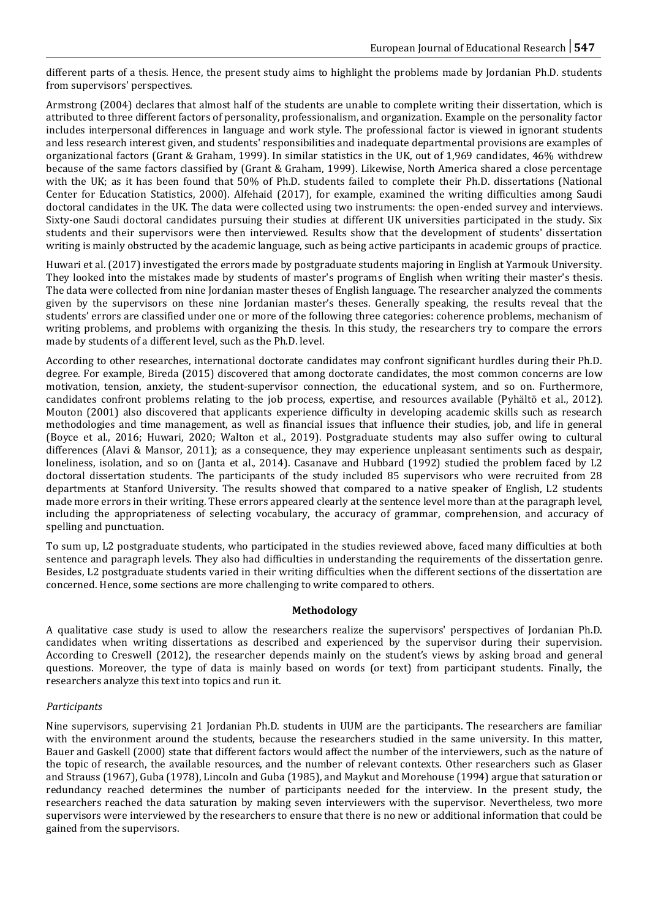different parts of a thesis. Hence, the present study aims to highlight the problems made by Jordanian Ph.D. students from supervisors' perspectives.

Armstrong (2004) declares that almost half of the students are unable to complete writing their dissertation, which is attributed to three different factors of personality, professionalism, and organization. Example on the personality factor includes interpersonal differences in language and work style. The professional factor is viewed in ignorant students and less research interest given, and students' responsibilities and inadequate departmental provisions are examples of organizational factors (Grant & Graham, 1999). In similar statistics in the UK, out of 1,969 candidates, 46% withdrew because of the same factors classified by (Grant & Graham, 1999). Likewise, North America shared a close percentage with the UK; as it has been found that 50% of Ph.D. students failed to complete their Ph.D. dissertations (National Center for Education Statistics, 2000). Alfehaid (2017), for example, examined the writing difficulties among Saudi doctoral candidates in the UK. The data were collected using two instruments: the open-ended survey and interviews. Sixty-one Saudi doctoral candidates pursuing their studies at different UK universities participated in the study. Six students and their supervisors were then interviewed. Results show that the development of students' dissertation writing is mainly obstructed by the academic language, such as being active participants in academic groups of practice.

Huwari et al. (2017) investigated the errors made by postgraduate students majoring in English at Yarmouk University. They looked into the mistakes made by students of master's programs of English when writing their master's thesis. The data were collected from nine Jordanian master theses of English language. The researcher analyzed the comments given by the supervisors on these nine Jordanian master's theses. Generally speaking, the results reveal that the students' errors are classified under one or more of the following three categories: coherence problems, mechanism of writing problems, and problems with organizing the thesis. In this study, the researchers try to compare the errors made by students of a different level, such as the Ph.D. level.

According to other researches, international doctorate candidates may confront significant hurdles during their Ph.D. degree. For example, Bireda (2015) discovered that among doctorate candidates, the most common concerns are low motivation, tension, anxiety, the student-supervisor connection, the educational system, and so on. Furthermore, candidates confront problems relating to the job process, expertise, and resources available (Pyhältö et al., 2012). Mouton (2001) also discovered that applicants experience difficulty in developing academic skills such as research methodologies and time management, as well as financial issues that influence their studies, job, and life in general (Boyce et al., 2016; Huwari, 2020; Walton et al., 2019). Postgraduate students may also suffer owing to cultural differences (Alavi & Mansor, 2011); as a consequence, they may experience unpleasant sentiments such as despair, loneliness, isolation, and so on (Janta et al., 2014). Casanave and Hubbard (1992) studied the problem faced by L2 doctoral dissertation students. The participants of the study included 85 supervisors who were recruited from 28 departments at Stanford University. The results showed that compared to a native speaker of English, L2 students made more errors in their writing. These errors appeared clearly at the sentence level more than at the paragraph level, including the appropriateness of selecting vocabulary, the accuracy of grammar, comprehension, and accuracy of spelling and punctuation.

To sum up, L2 postgraduate students, who participated in the studies reviewed above, faced many difficulties at both sentence and paragraph levels. They also had difficulties in understanding the requirements of the dissertation genre. Besides, L2 postgraduate students varied in their writing difficulties when the different sections of the dissertation are concerned. Hence, some sections are more challenging to write compared to others.

#### **Methodology**

A qualitative case study is used to allow the researchers realize the supervisors' perspectives of Jordanian Ph.D. candidates when writing dissertations as described and experienced by the supervisor during their supervision. According to Creswell (2012), the researcher depends mainly on the student's views by asking broad and general questions. Moreover, the type of data is mainly based on words (or text) from participant students. Finally, the researchers analyze this text into topics and run it.

#### *Participants*

Nine supervisors, supervising 21 Jordanian Ph.D. students in UUM are the participants. The researchers are familiar with the environment around the students, because the researchers studied in the same university. In this matter, Bauer and Gaskell (2000) state that different factors would affect the number of the interviewers, such as the nature of the topic of research, the available resources, and the number of relevant contexts. Other researchers such as Glaser and Strauss (1967), Guba (1978), Lincoln and Guba (1985), and Maykut and Morehouse (1994) argue that saturation or redundancy reached determines the number of participants needed for the interview. In the present study, the researchers reached the data saturation by making seven interviewers with the supervisor. Nevertheless, two more supervisors were interviewed by the researchers to ensure that there is no new or additional information that could be gained from the supervisors.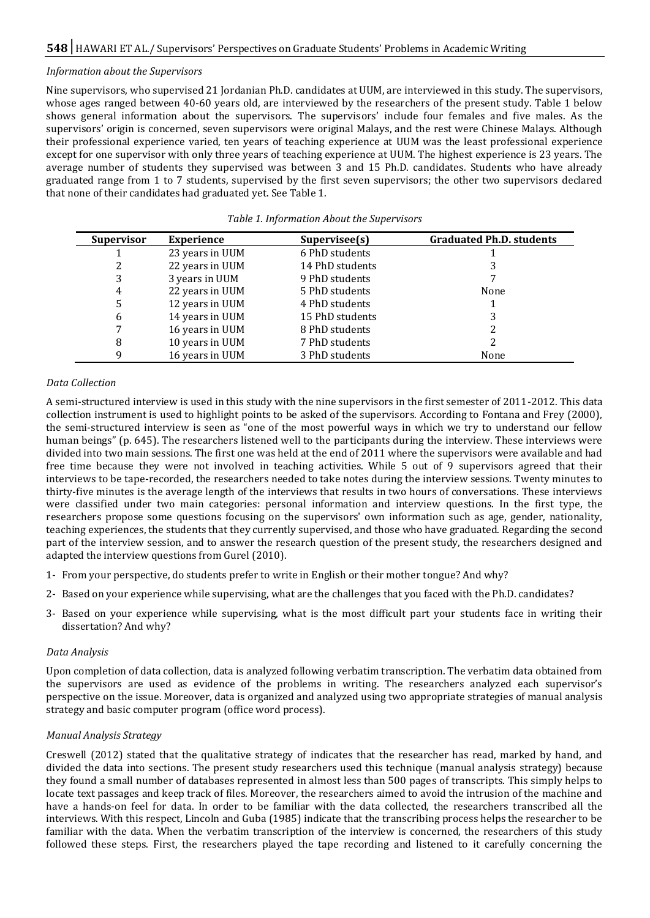#### *Information about the Supervisors*

Nine supervisors, who supervised 21 Jordanian Ph.D. candidates at UUM, are interviewed in this study. The supervisors, whose ages ranged between 40-60 years old, are interviewed by the researchers of the present study. Table 1 below shows general information about the supervisors. The supervisors' include four females and five males. As the supervisors' origin is concerned, seven supervisors were original Malays, and the rest were Chinese Malays. Although their professional experience varied, ten years of teaching experience at UUM was the least professional experience except for one supervisor with only three years of teaching experience at UUM. The highest experience is 23 years. The average number of students they supervised was between 3 and 15 Ph.D. candidates. Students who have already graduated range from 1 to 7 students, supervised by the first seven supervisors; the other two supervisors declared that none of their candidates had graduated yet. See Table 1.

| <b>Supervisor</b> | <b>Experience</b> | Supervisee(s)   | <b>Graduated Ph.D. students</b> |
|-------------------|-------------------|-----------------|---------------------------------|
|                   | 23 years in UUM   | 6 PhD students  |                                 |
| 2                 | 22 years in UUM   | 14 PhD students |                                 |
| 3                 | 3 years in UUM    | 9 PhD students  |                                 |
| 4                 | 22 years in UUM   | 5 PhD students  | None                            |
| 5                 | 12 years in UUM   | 4 PhD students  |                                 |
| 6                 | 14 years in UUM   | 15 PhD students |                                 |
|                   | 16 years in UUM   | 8 PhD students  |                                 |
| 8                 | 10 years in UUM   | 7 PhD students  |                                 |
| 9                 | 16 years in UUM   | 3 PhD students  | None                            |

#### *Table 1. Information About the Supervisors*

#### *Data Collection*

A semi-structured interview is used in this study with the nine supervisors in the first semester of 2011-2012. This data collection instrument is used to highlight points to be asked of the supervisors. According to Fontana and Frey (2000), the semi-structured interview is seen as "one of the most powerful ways in which we try to understand our fellow human beings" (p. 645). The researchers listened well to the participants during the interview. These interviews were divided into two main sessions. The first one was held at the end of 2011 where the supervisors were available and had free time because they were not involved in teaching activities. While 5 out of 9 supervisors agreed that their interviews to be tape-recorded, the researchers needed to take notes during the interview sessions. Twenty minutes to thirty-five minutes is the average length of the interviews that results in two hours of conversations. These interviews were classified under two main categories: personal information and interview questions. In the first type, the researchers propose some questions focusing on the supervisors' own information such as age, gender, nationality, teaching experiences, the students that they currently supervised, and those who have graduated. Regarding the second part of the interview session, and to answer the research question of the present study, the researchers designed and adapted the interview questions from Gurel (2010).

- 1- From your perspective, do students prefer to write in English or their mother tongue? And why?
- 2- Based on your experience while supervising, what are the challenges that you faced with the Ph.D. candidates?
- 3- Based on your experience while supervising, what is the most difficult part your students face in writing their dissertation? And why?

#### *Data Analysis*

Upon completion of data collection, data is analyzed following verbatim transcription. The verbatim data obtained from the supervisors are used as evidence of the problems in writing. The researchers analyzed each supervisor's perspective on the issue. Moreover, data is organized and analyzed using two appropriate strategies of manual analysis strategy and basic computer program (office word process).

#### *Manual Analysis Strategy*

Creswell (2012) stated that the qualitative strategy of indicates that the researcher has read, marked by hand, and divided the data into sections. The present study researchers used this technique (manual analysis strategy) because they found a small number of databases represented in almost less than 500 pages of transcripts. This simply helps to locate text passages and keep track of files. Moreover, the researchers aimed to avoid the intrusion of the machine and have a hands-on feel for data. In order to be familiar with the data collected, the researchers transcribed all the interviews. With this respect, Lincoln and Guba (1985) indicate that the transcribing process helps the researcher to be familiar with the data. When the verbatim transcription of the interview is concerned, the researchers of this study followed these steps. First, the researchers played the tape recording and listened to it carefully concerning the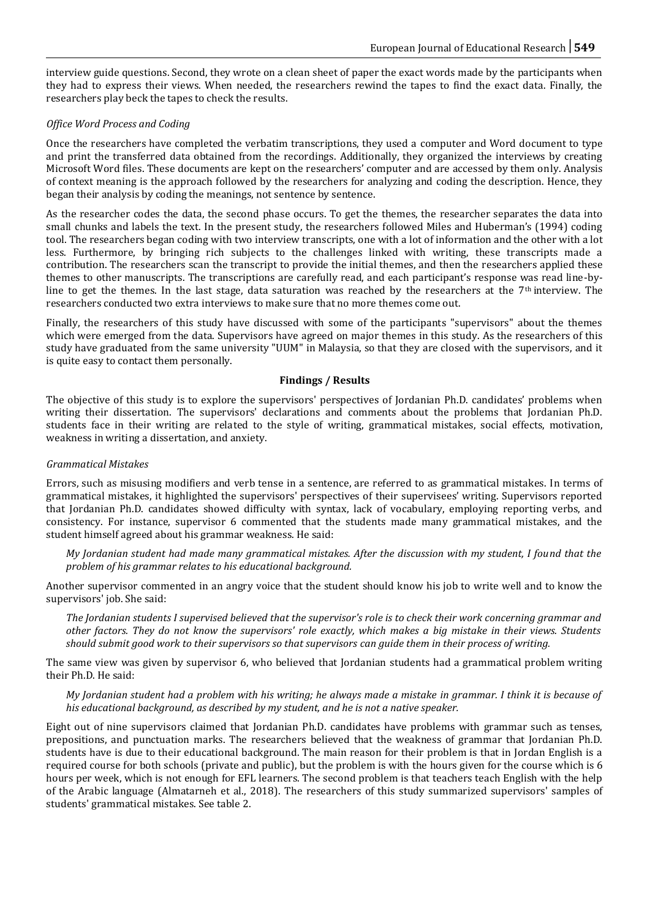interview guide questions. Second, they wrote on a clean sheet of paper the exact words made by the participants when they had to express their views. When needed, the researchers rewind the tapes to find the exact data. Finally, the researchers play beck the tapes to check the results.

## *Office Word Process and Coding*

Once the researchers have completed the verbatim transcriptions, they used a computer and Word document to type and print the transferred data obtained from the recordings. Additionally, they organized the interviews by creating Microsoft Word files. These documents are kept on the researchers' computer and are accessed by them only. Analysis of context meaning is the approach followed by the researchers for analyzing and coding the description. Hence, they began their analysis by coding the meanings, not sentence by sentence.

As the researcher codes the data, the second phase occurs. To get the themes, the researcher separates the data into small chunks and labels the text. In the present study, the researchers followed Miles and Huberman's (1994) coding tool. The researchers began coding with two interview transcripts, one with a lot of information and the other with a lot less. Furthermore, by bringing rich subjects to the challenges linked with writing, these transcripts made a contribution. The researchers scan the transcript to provide the initial themes, and then the researchers applied these themes to other manuscripts. The transcriptions are carefully read, and each participant's response was read line-byline to get the themes. In the last stage, data saturation was reached by the researchers at the  $7<sup>th</sup>$  interview. The researchers conducted two extra interviews to make sure that no more themes come out.

Finally, the researchers of this study have discussed with some of the participants "supervisors" about the themes which were emerged from the data. Supervisors have agreed on major themes in this study. As the researchers of this study have graduated from the same university "UUM" in Malaysia, so that they are closed with the supervisors, and it is quite easy to contact them personally.

### **Findings / Results**

The objective of this study is to explore the supervisors' perspectives of Jordanian Ph.D. candidates' problems when writing their dissertation. The supervisors' declarations and comments about the problems that Jordanian Ph.D. students face in their writing are related to the style of writing, grammatical mistakes, social effects, motivation, weakness in writing a dissertation, and anxiety.

#### *Grammatical Mistakes*

Errors, such as misusing modifiers and verb tense in a sentence, are referred to as grammatical mistakes. In terms of grammatical mistakes, it highlighted the supervisors' perspectives of their supervisees' writing. Supervisors reported that Jordanian Ph.D. candidates showed difficulty with syntax, lack of vocabulary, employing reporting verbs, and consistency. For instance, supervisor 6 commented that the students made many grammatical mistakes, and the student himself agreed about his grammar weakness. He said:

*My Jordanian student had made many grammatical mistakes. After the discussion with my student, I found that the problem of his grammar relates to his educational background.*

Another supervisor commented in an angry voice that the student should know his job to write well and to know the supervisors' job. She said:

*The Jordanian students I supervised believed that the supervisor's role is to check their work concerning grammar and other factors. They do not know the supervisors' role exactly, which makes a big mistake in their views. Students should submit good work to their supervisors so that supervisors can guide them in their process of writing.*

The same view was given by supervisor 6, who believed that Jordanian students had a grammatical problem writing their Ph.D. He said:

*My Jordanian student had a problem with his writing; he always made a mistake in grammar. I think it is because of his educational background, as described by my student, and he is not a native speaker.*

Eight out of nine supervisors claimed that Jordanian Ph.D. candidates have problems with grammar such as tenses, prepositions, and punctuation marks. The researchers believed that the weakness of grammar that Jordanian Ph.D. students have is due to their educational background. The main reason for their problem is that in Jordan English is a required course for both schools (private and public), but the problem is with the hours given for the course which is 6 hours per week, which is not enough for EFL learners. The second problem is that teachers teach English with the help of the Arabic language (Almatarneh et al., 2018). The researchers of this study summarized supervisors' samples of students' grammatical mistakes. See table 2.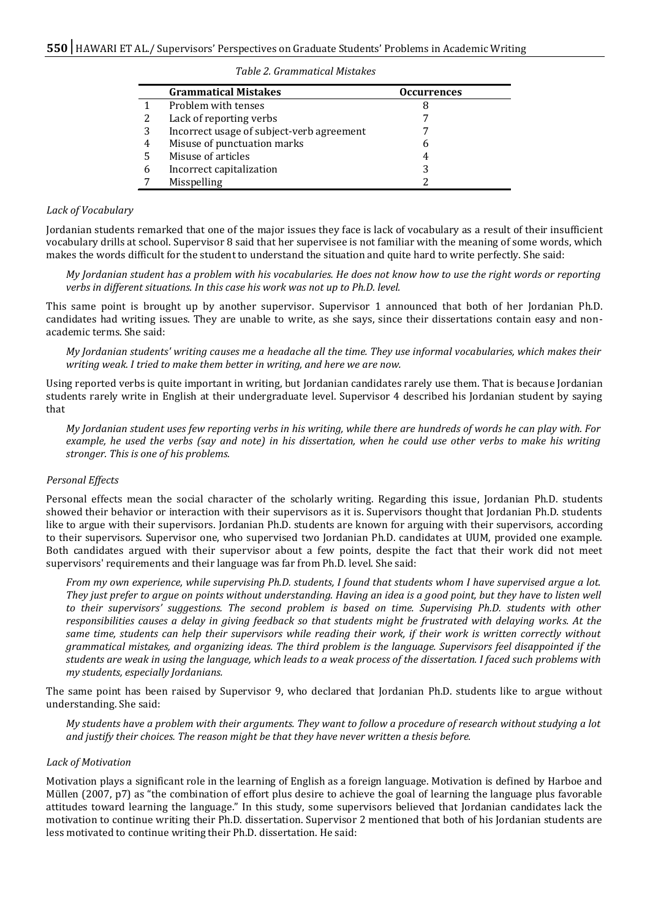#### *Table 2. Grammatical Mistakes*

|   | <b>Grammatical Mistakes</b>               | <b>Occurrences</b> |  |
|---|-------------------------------------------|--------------------|--|
|   | Problem with tenses                       | 8                  |  |
| 2 | Lack of reporting verbs                   |                    |  |
| 3 | Incorrect usage of subject-verb agreement |                    |  |
| 4 | Misuse of punctuation marks               | h                  |  |
| 5 | Misuse of articles                        | 4                  |  |
| 6 | Incorrect capitalization                  | 3                  |  |
|   | Misspelling                               |                    |  |

#### *Lack of Vocabulary*

Jordanian students remarked that one of the major issues they face is lack of vocabulary as a result of their insufficient vocabulary drills at school. Supervisor 8 said that her supervisee is not familiar with the meaning of some words, which makes the words difficult for the student to understand the situation and quite hard to write perfectly. She said:

*My Jordanian student has a problem with his vocabularies. He does not know how to use the right words or reporting verbs in different situations. In this case his work was not up to Ph.D. level.* 

This same point is brought up by another supervisor. Supervisor 1 announced that both of her Jordanian Ph.D. candidates had writing issues. They are unable to write, as she says, since their dissertations contain easy and nonacademic terms. She said:

*My Jordanian students' writing causes me a headache all the time. They use informal vocabularies, which makes their writing weak. I tried to make them better in writing, and here we are now.*

Using reported verbs is quite important in writing, but Jordanian candidates rarely use them. That is because Jordanian students rarely write in English at their undergraduate level. Supervisor 4 described his Jordanian student by saying that

*My Jordanian student uses few reporting verbs in his writing, while there are hundreds of words he can play with. For example, he used the verbs (say and note) in his dissertation, when he could use other verbs to make his writing stronger. This is one of his problems.*

#### *Personal Effects*

Personal effects mean the social character of the scholarly writing. Regarding this issue, Jordanian Ph.D. students showed their behavior or interaction with their supervisors as it is. Supervisors thought that Jordanian Ph.D. students like to argue with their supervisors. Jordanian Ph.D. students are known for arguing with their supervisors, according to their supervisors. Supervisor one, who supervised two Jordanian Ph.D. candidates at UUM, provided one example. Both candidates argued with their supervisor about a few points, despite the fact that their work did not meet supervisors' requirements and their language was far from Ph.D. level. She said:

*From my own experience, while supervising Ph.D. students, I found that students whom I have supervised argue a lot. They just prefer to argue on points without understanding. Having an idea is a good point, but they have to listen well to their supervisors' suggestions. The second problem is based on time. Supervising Ph.D. students with other responsibilities causes a delay in giving feedback so that students might be frustrated with delaying works. At the same time, students can help their supervisors while reading their work, if their work is written correctly without grammatical mistakes, and organizing ideas. The third problem is the language. Supervisors feel disappointed if the students are weak in using the language, which leads to a weak process of the dissertation. I faced such problems with my students, especially Jordanians.*

The same point has been raised by Supervisor 9, who declared that Jordanian Ph.D. students like to argue without understanding. She said:

*My students have a problem with their arguments. They want to follow a procedure of research without studying a lot and justify their choices. The reason might be that they have never written a thesis before.* 

#### *Lack of Motivation*

Motivation plays a significant role in the learning of English as a foreign language. Motivation is defined by Harboe and Müllen (2007, p7) as "the combination of effort plus desire to achieve the goal of learning the language plus favorable attitudes toward learning the language." In this study, some supervisors believed that Jordanian candidates lack the motivation to continue writing their Ph.D. dissertation. Supervisor 2 mentioned that both of his Jordanian students are less motivated to continue writing their Ph.D. dissertation. He said: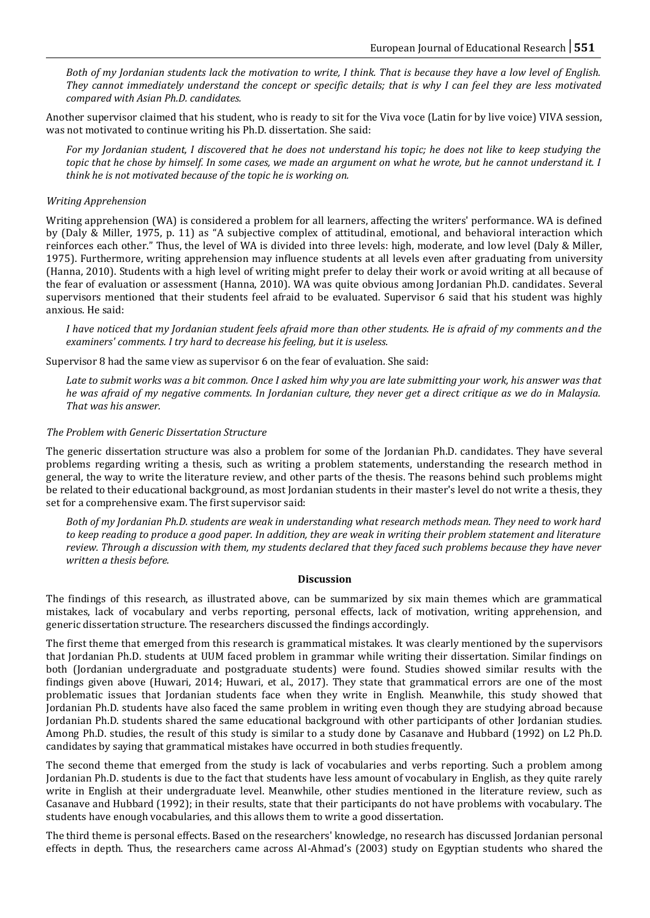*Both of my Jordanian students lack the motivation to write, I think. That is because they have a low level of English. They cannot immediately understand the concept or specific details; that is why I can feel they are less motivated compared with Asian Ph.D. candidates.* 

Another supervisor claimed that his student, who is ready to sit for the Viva voce (Latin for by live voice) VIVA session, was not motivated to continue writing his Ph.D. dissertation. She said:

*For my Jordanian student, I discovered that he does not understand his topic; he does not like to keep studying the topic that he chose by himself. In some cases, we made an argument on what he wrote, but he cannot understand it. I think he is not motivated because of the topic he is working on.* 

## *Writing Apprehension*

Writing apprehension (WA) is considered a problem for all learners, affecting the writers' performance. WA is defined by (Daly & Miller, 1975, p. 11) as "A subjective complex of attitudinal, emotional, and behavioral interaction which reinforces each other." Thus, the level of WA is divided into three levels: high, moderate, and low level (Daly & Miller, 1975). Furthermore, writing apprehension may influence students at all levels even after graduating from university (Hanna, 2010). Students with a high level of writing might prefer to delay their work or avoid writing at all because of the fear of evaluation or assessment (Hanna, 2010). WA was quite obvious among Jordanian Ph.D. candidates. Several supervisors mentioned that their students feel afraid to be evaluated. Supervisor 6 said that his student was highly anxious. He said:

*I have noticed that my Jordanian student feels afraid more than other students. He is afraid of my comments and the examiners' comments. I try hard to decrease his feeling, but it is useless.* 

Supervisor 8 had the same view as supervisor 6 on the fear of evaluation. She said:

*Late to submit works was a bit common. Once I asked him why you are late submitting your work, his answer was that he was afraid of my negative comments. In Jordanian culture, they never get a direct critique as we do in Malaysia. That was his answer.* 

#### *The Problem with Generic Dissertation Structure*

The generic dissertation structure was also a problem for some of the Jordanian Ph.D. candidates. They have several problems regarding writing a thesis, such as writing a problem statements, understanding the research method in general, the way to write the literature review, and other parts of the thesis. The reasons behind such problems might be related to their educational background, as most Jordanian students in their master's level do not write a thesis, they set for a comprehensive exam. The first supervisor said:

*Both of my Jordanian Ph.D. students are weak in understanding what research methods mean. They need to work hard to keep reading to produce a good paper. In addition, they are weak in writing their problem statement and literature review. Through a discussion with them, my students declared that they faced such problems because they have never written a thesis before.*

#### **Discussion**

The findings of this research, as illustrated above, can be summarized by six main themes which are grammatical mistakes, lack of vocabulary and verbs reporting, personal effects, lack of motivation, writing apprehension, and generic dissertation structure. The researchers discussed the findings accordingly.

The first theme that emerged from this research is grammatical mistakes. It was clearly mentioned by the supervisors that Jordanian Ph.D. students at UUM faced problem in grammar while writing their dissertation. Similar findings on both (Jordanian undergraduate and postgraduate students) were found. Studies showed similar results with the findings given above (Huwari, 2014; Huwari, et al., 2017). They state that grammatical errors are one of the most problematic issues that Jordanian students face when they write in English. Meanwhile, this study showed that Jordanian Ph.D. students have also faced the same problem in writing even though they are studying abroad because Jordanian Ph.D. students shared the same educational background with other participants of other Jordanian studies. Among Ph.D. studies, the result of this study is similar to a study done by Casanave and Hubbard (1992) on L2 Ph.D. candidates by saying that grammatical mistakes have occurred in both studies frequently.

The second theme that emerged from the study is lack of vocabularies and verbs reporting. Such a problem among Jordanian Ph.D. students is due to the fact that students have less amount of vocabulary in English, as they quite rarely write in English at their undergraduate level. Meanwhile, other studies mentioned in the literature review, such as Casanave and Hubbard (1992); in their results, state that their participants do not have problems with vocabulary. The students have enough vocabularies, and this allows them to write a good dissertation.

The third theme is personal effects. Based on the researchers' knowledge, no research has discussed Jordanian personal effects in depth. Thus, the researchers came across Al-Ahmad's (2003) study on Egyptian students who shared the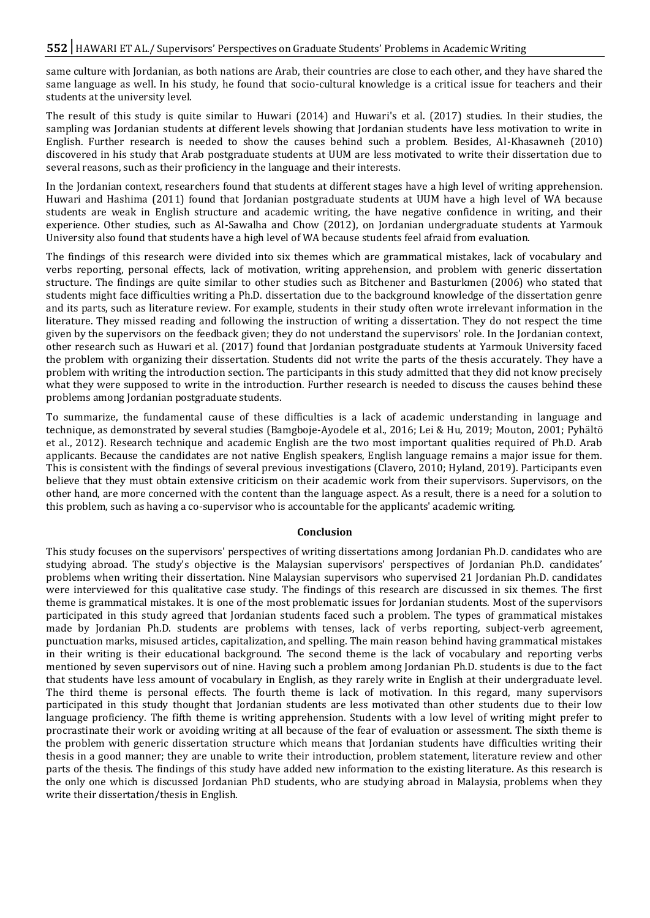same culture with Jordanian, as both nations are Arab, their countries are close to each other, and they have shared the same language as well. In his study, he found that socio-cultural knowledge is a critical issue for teachers and their students at the university level.

The result of this study is quite similar to Huwari (2014) and Huwari's et al. (2017) studies. In their studies, the sampling was Jordanian students at different levels showing that Jordanian students have less motivation to write in English. Further research is needed to show the causes behind such a problem. Besides, Al-Khasawneh (2010) discovered in his study that Arab postgraduate students at UUM are less motivated to write their dissertation due to several reasons, such as their proficiency in the language and their interests.

In the Jordanian context, researchers found that students at different stages have a high level of writing apprehension. Huwari and Hashima (2011) found that Jordanian postgraduate students at UUM have a high level of WA because students are weak in English structure and academic writing, the have negative confidence in writing, and their experience. Other studies, such as Al-Sawalha and Chow (2012), on Jordanian undergraduate students at Yarmouk University also found that students have a high level of WA because students feel afraid from evaluation.

The findings of this research were divided into six themes which are grammatical mistakes, lack of vocabulary and verbs reporting, personal effects, lack of motivation, writing apprehension, and problem with generic dissertation structure. The findings are quite similar to other studies such as Bitchener and Basturkmen (2006) who stated that students might face difficulties writing a Ph.D. dissertation due to the background knowledge of the dissertation genre and its parts, such as literature review. For example, students in their study often wrote irrelevant information in the literature. They missed reading and following the instruction of writing a dissertation. They do not respect the time given by the supervisors on the feedback given; they do not understand the supervisors' role. In the Jordanian context, other research such as Huwari et al. (2017) found that Jordanian postgraduate students at Yarmouk University faced the problem with organizing their dissertation. Students did not write the parts of the thesis accurately. They have a problem with writing the introduction section. The participants in this study admitted that they did not know precisely what they were supposed to write in the introduction. Further research is needed to discuss the causes behind these problems among Jordanian postgraduate students.

To summarize, the fundamental cause of these difficulties is a lack of academic understanding in language and technique, as demonstrated by several studies (Bamgboje-Ayodele et al., 2016; Lei & Hu, 2019; Mouton, 2001; Pyhältö et al., 2012). Research technique and academic English are the two most important qualities required of Ph.D. Arab applicants. Because the candidates are not native English speakers, English language remains a major issue for them. This is consistent with the findings of several previous investigations (Clavero, 2010; Hyland, 2019). Participants even believe that they must obtain extensive criticism on their academic work from their supervisors. Supervisors, on the other hand, are more concerned with the content than the language aspect. As a result, there is a need for a solution to this problem, such as having a co-supervisor who is accountable for the applicants' academic writing.

#### **Conclusion**

This study focuses on the supervisors' perspectives of writing dissertations among Jordanian Ph.D. candidates who are studying abroad. The study's objective is the Malaysian supervisors' perspectives of Jordanian Ph.D. candidates' problems when writing their dissertation. Nine Malaysian supervisors who supervised 21 Jordanian Ph.D. candidates were interviewed for this qualitative case study. The findings of this research are discussed in six themes. The first theme is grammatical mistakes. It is one of the most problematic issues for Jordanian students. Most of the supervisors participated in this study agreed that Jordanian students faced such a problem. The types of grammatical mistakes made by Jordanian Ph.D. students are problems with tenses, lack of verbs reporting, subject-verb agreement, punctuation marks, misused articles, capitalization, and spelling. The main reason behind having grammatical mistakes in their writing is their educational background. The second theme is the lack of vocabulary and reporting verbs mentioned by seven supervisors out of nine. Having such a problem among Jordanian Ph.D. students is due to the fact that students have less amount of vocabulary in English, as they rarely write in English at their undergraduate level. The third theme is personal effects. The fourth theme is lack of motivation. In this regard, many supervisors participated in this study thought that Jordanian students are less motivated than other students due to their low language proficiency. The fifth theme is writing apprehension. Students with a low level of writing might prefer to procrastinate their work or avoiding writing at all because of the fear of evaluation or assessment. The sixth theme is the problem with generic dissertation structure which means that Jordanian students have difficulties writing their thesis in a good manner; they are unable to write their introduction, problem statement, literature review and other parts of the thesis. The findings of this study have added new information to the existing literature. As this research is the only one which is discussed Jordanian PhD students, who are studying abroad in Malaysia, problems when they write their dissertation/thesis in English.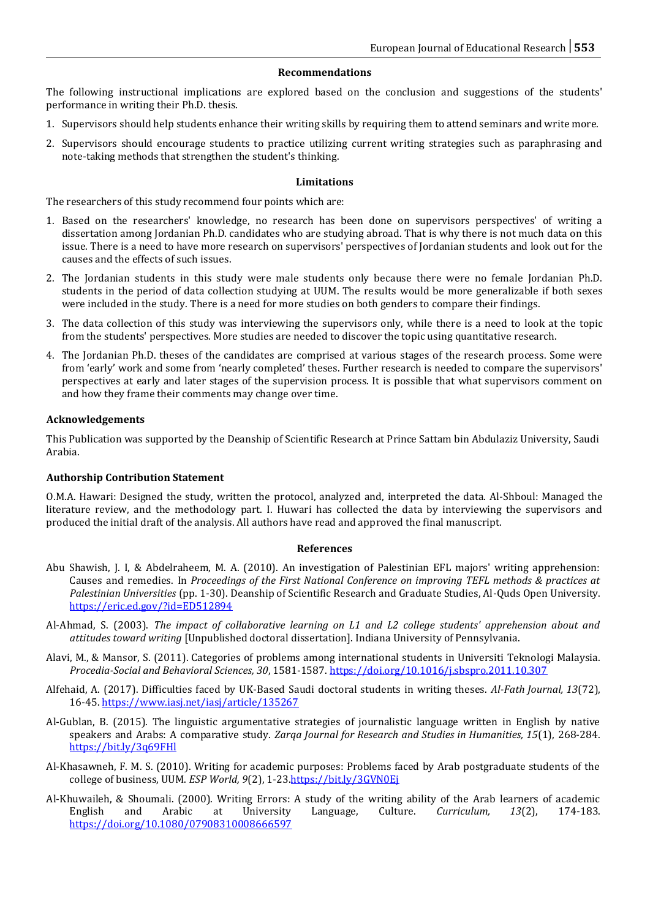#### **Recommendations**

The following instructional implications are explored based on the conclusion and suggestions of the students' performance in writing their Ph.D. thesis.

- 1. Supervisors should help students enhance their writing skills by requiring them to attend seminars and write more.
- 2. Supervisors should encourage students to practice utilizing current writing strategies such as paraphrasing and note-taking methods that strengthen the student's thinking.

#### **Limitations**

The researchers of this study recommend four points which are:

- 1. Based on the researchers' knowledge, no research has been done on supervisors perspectives' of writing a dissertation among Jordanian Ph.D. candidates who are studying abroad. That is why there is not much data on this issue. There is a need to have more research on supervisors' perspectives of Jordanian students and look out for the causes and the effects of such issues.
- 2. The Jordanian students in this study were male students only because there were no female Jordanian Ph.D. students in the period of data collection studying at UUM. The results would be more generalizable if both sexes were included in the study. There is a need for more studies on both genders to compare their findings.
- 3. The data collection of this study was interviewing the supervisors only, while there is a need to look at the topic from the students' perspectives. More studies are needed to discover the topic using quantitative research.
- 4. The Jordanian Ph.D. theses of the candidates are comprised at various stages of the research process. Some were from 'early' work and some from 'nearly completed' theses. Further research is needed to compare the supervisors' perspectives at early and later stages of the supervision process. It is possible that what supervisors comment on and how they frame their comments may change over time.

#### **Acknowledgements**

This Publication was supported by the Deanship of Scientific Research at Prince Sattam bin Abdulaziz University, Saudi Arabia.

#### **Authorship Contribution Statement**

O.M.A. Hawari: Designed the study, written the protocol, analyzed and, interpreted the data. Al-Shboul: Managed the literature review, and the methodology part. I. Huwari has collected the data by interviewing the supervisors and produced the initial draft of the analysis. All authors have read and approved the final manuscript.

#### **References**

- Abu Shawish, J. I, & Abdelraheem, M. A. (2010). An investigation of Palestinian EFL majors' writing apprehension: Causes and remedies. In *Proceedings of the First National Conference on improving TEFL methods & practices at Palestinian Universities* (pp. 1-30). Deanship of Scientific Research and Graduate Studies, Al-Quds Open University. <https://eric.ed.gov/?id=ED512894>
- Al-Ahmad, S. (2003). *The impact of collaborative learning on L1 and L2 college students' apprehension about and attitudes toward writing* [Unpublished doctoral dissertation]. Indiana University of Pennsylvania.
- Alavi, M., & Mansor, S. (2011). Categories of problems among international students in Universiti Teknologi Malaysia. *Procedia-Social and Behavioral Sciences, 30*, 1581-1587.<https://doi.org/10.1016/j.sbspro.2011.10.307>
- Alfehaid, A. (2017). Difficulties faced by UK-Based Saudi doctoral students in writing theses. *Al-Fath Journal, 13*(72), 16-45[. https://www.iasj.net/iasj/article/135267](https://www.iasj.net/iasj/article/135267)
- Al-Gublan, B. (2015). The linguistic argumentative strategies of journalistic language written in English by native speakers and Arabs: A comparative study. *Zarqa Journal for Research and Studies in Humanities, 15*(1), 268-284. <https://bit.ly/3q69FHl>
- Al-Khasawneh, F. M. S. (2010). Writing for academic purposes: Problems faced by Arab postgraduate students of the college of business, UUM. *ESP World*, 9(2), 1-23.https://bit.ly/3GVN0Ei
- Al-Khuwaileh, & Shoumali. (2000). Writing Errors: A study of the writing ability of the Arab learners of academic English and Arabic at University Language, Culture. *Curriculum, 13*(2), 174-183. <https://doi.org/10.1080/07908310008666597>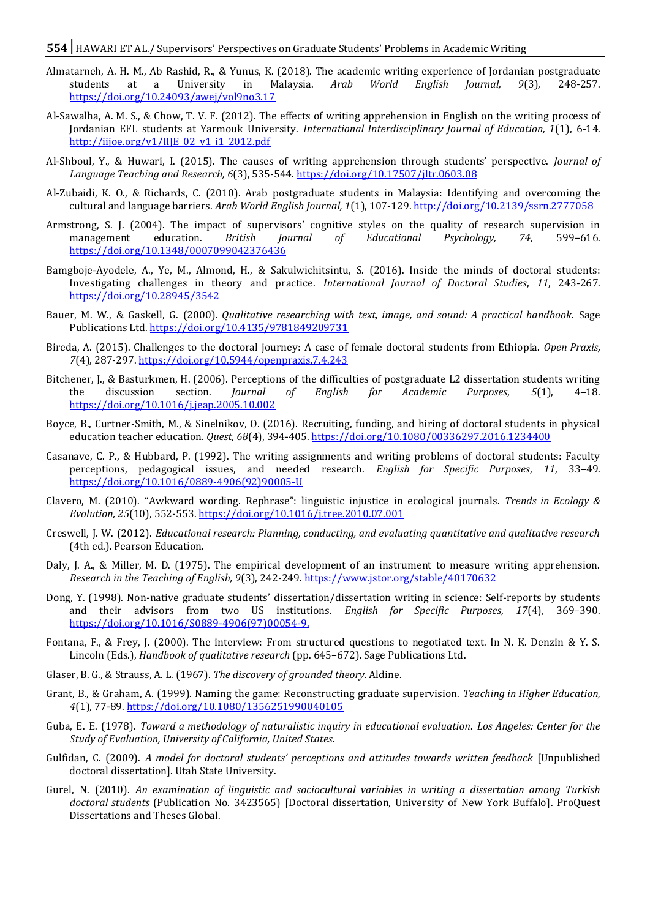#### **554** HAWARI ET AL./ Supervisors' Perspectives on Graduate Students' Problems in Academic Writing

- Almatarneh, A. H. M., Ab Rashid, R., & Yunus, K. (2018). The academic writing experience of Jordanian postgraduate students at a University in Malaysia. *Arab World English Journal, 9*(3), 248-257. <https://doi.org/10.24093/awej/vol9no3.17>
- Al-Sawalha, A. M. S., & Chow, T. V. F. (2012). The effects of writing apprehension in English on the writing process of Jordanian EFL students at Yarmouk University. *International Interdisciplinary Journal of Education, 1*(1), 6-14. [http://iijoe.org/v1/IIJE\\_02\\_v1\\_i1\\_2012.pdf](http://iijoe.org/v1/IIJE_02_v1_i1_2012.pdf)
- Al-Shboul, Y., & Huwari, I. (2015). The causes of writing apprehension through students' perspective. *Journal of Language Teaching and Research, 6*(3), 535-544.<https://doi.org/10.17507/jltr.0603.08>
- Al-Zubaidi, K. O., & Richards, C. (2010). Arab postgraduate students in Malaysia: Identifying and overcoming the cultural and language barriers. *Arab World English Journal, 1*(1), 107-129[. http://doi.org/10.2139/ssrn.2777058](http://doi.org/10.2139/ssrn.2777058)
- Armstrong, S. J. (2004). The impact of supervisors' cognitive styles on the quality of research supervision in management education. *British Journal of Educational Psychology, 74*, 599–616. <https://doi.org/10.1348/0007099042376436>
- Bamgboje-Ayodele, A., Ye, M., Almond, H., & Sakulwichitsintu, S. (2016). Inside the minds of doctoral students: Investigating challenges in theory and practice. *International Journal of Doctoral Studies*, *11*, 243-267. <https://doi.org/10.28945/3542>
- Bauer, M. W., & Gaskell, G. (2000). *Qualitative researching with text, image, and sound: A practical handbook*. Sage Publications Ltd. <https://doi.org/10.4135/9781849209731>
- Bireda, A. (2015). Challenges to the doctoral journey: A case of female doctoral students from Ethiopia. *Open Praxis, 7*(4), 287-297[. https://doi.org/10.5944/openpraxis.7.4.243](https://doi.org/10.5944/openpraxis.7.4.243)
- Bitchener, J., & Basturkmen, H. (2006). Perceptions of the difficulties of postgraduate L2 dissertation students writing the discussion section. *Journal of English for Academic Purposes*, *5*(1), 4–18. <https://doi.org/10.1016/j.jeap.2005.10.002>
- Boyce, B., Curtner-Smith, M., & Sinelnikov, O. (2016). Recruiting, funding, and hiring of doctoral students in physical education teacher education. *Quest, 68*(4), 394-405[. https://doi.org/10.1080/00336297.2016.1234400](https://doi.org/10.1080/00336297.2016.1234400)
- Casanave, C. P., & Hubbard, P. (1992). The writing assignments and writing problems of doctoral students: Faculty perceptions, pedagogical issues, and needed research. *English for Specific Purposes*, *11*, 33–49. [https://doi.org/10.1016/0889-4906\(92\)90005-U](https://doi.org/10.1016/0889-4906(92)90005-U)
- Clavero, M. (2010). "Awkward wording. Rephrase": linguistic injustice in ecological journals. *Trends in Ecology & Evolution, 25*(10), 552-553. <https://doi.org/10.1016/j.tree.2010.07.001>
- Creswell, J. W. (2012). *Educational research: Planning, conducting, and evaluating quantitative and qualitative research*  (4th ed.). Pearson Education.
- Daly, J. A., & Miller, M. D. (1975). The empirical development of an instrument to measure writing apprehension. *Research in the Teaching of English, 9*(3), 242-249.<https://www.jstor.org/stable/40170632>
- Dong, Y. (1998). Non-native graduate students' dissertation/dissertation writing in science: Self-reports by students and their advisors from two US institutions. *English for Specific Purposes*, *17*(4), 369–390. https:/[/doi.org/10.1016/S0889-4906\(97\)00054-9.](http://dx.doi.org/10.1016/S0889-4906(97)00054-9)
- Fontana, F., & Frey, J. (2000). The interview: From structured questions to negotiated text. In N. K. Denzin & Y. S. Lincoln (Eds.), *Handbook of qualitative research* (pp. 645–672). Sage Publications Ltd.
- Glaser, B. G., & Strauss, A. L. (1967). *The discovery of grounded theory*. Aldine.
- Grant, B., & Graham, A. (1999). Naming the game: Reconstructing graduate supervision. *Teaching in Higher Education, 4*(1), 77-89. <https://doi.org/10.1080/1356251990040105>
- Guba, E. E. (1978). *Toward a methodology of naturalistic inquiry in educational evaluation*. *Los Angeles: Center for the Study of Evaluation, University of California, United States*.
- Gulfidan, C. (2009). *A model for doctoral students' perceptions and attitudes towards written feedback* [Unpublished doctoral dissertation]. Utah State University.
- Gurel, N. (2010). *An examination of linguistic and sociocultural variables in writing a dissertation among Turkish doctoral students* (Publication No. 3423565) [Doctoral dissertation, University of New York Buffalo]. ProQuest Dissertations and Theses Global.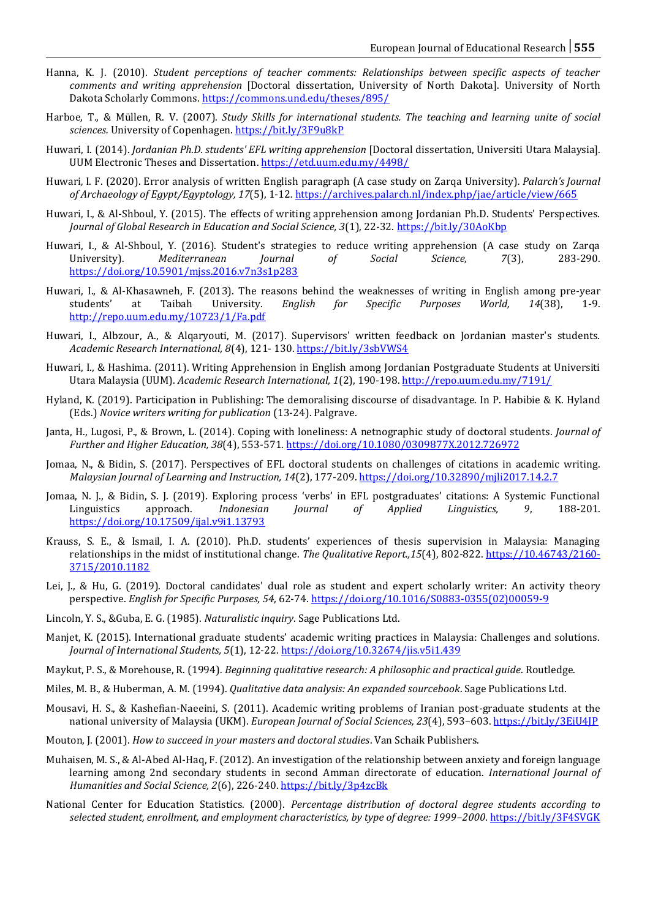- Hanna, K. J. (2010). *Student perceptions of teacher comments: Relationships between specific aspects of teacher comments and writing apprehension* [Doctoral dissertation, University of North Dakota]. University of North Dakota Scholarly Commons. <https://commons.und.edu/theses/895/>
- Harboe, T., & Müllen, R. V. (2007). *Study Skills for international students. The teaching and learning unite of social sciences.* University of Copenhagen[. https://bit.ly/3F9u8kP](https://bit.ly/3F9u8kP)
- Huwari, I. (2014). *Jordanian Ph.D. students' EFL writing apprehension* [Doctoral dissertation, Universiti Utara Malaysia]. UUM Electronic Theses and Dissertation[. https://etd.uum.edu.my/4498/](https://etd.uum.edu.my/4498/)
- Huwari*,* I. F. (2020). Error analysis of written English paragraph (A case study on Zarqa University)*. Palarch's Journal of Archaeology of Egypt/Egyptology, 17*(5), 1-12*.* <https://archives.palarch.nl/index.php/jae/article/view/665>
- Huwari, I., & Al-Shboul, Y. (2015). The effects of writing apprehension among Jordanian Ph.D. Students' Perspectives. *Journal of Global Research in Education and Social Science, 3*(1), 22-32. <https://bit.ly/30AoKbp>
- Huwari, I., & Al-Shboul, Y. (2016). Student's strategies to reduce writing apprehension (A case study on Zarqa University). *Mediterranean Journal of Social Science, 7*(3), 283-290. <https://doi.org/10.5901/mjss.2016.v7n3s1p283>
- Huwari, I., & Al-Khasawneh, F. (2013). The reasons behind the weaknesses of writing in English among pre-year students' at Taibah University. *English for Specific Purposes World, 14*(38), 1-9. <http://repo.uum.edu.my/10723/1/Fa.pdf>
- Huwari, I., Albzour, A., & Alqaryouti, M. (2017). Supervisors' written feedback on Jordanian master's students. *Academic Research International, 8*(4), 121- 130.<https://bit.ly/3sbVWS4>
- Huwari, I., & Hashima. (2011). Writing Apprehension in English among Jordanian Postgraduate Students at Universiti Utara Malaysia (UUM). *Academic Research International, 1*(2), 190-198[. http://repo.uum.edu.my/7191/](http://repo.uum.edu.my/7191/)
- Hyland, K. (2019). Participation in Publishing: The demoralising discourse of disadvantage. In P. Habibie & K. Hyland (Eds.) *Novice writers writing for publication* (13-24). Palgrave.
- Janta, H., Lugosi, P., & Brown, L. (2014). Coping with loneliness: A netnographic study of doctoral students. *Journal of Further and Higher Education, 38*(4), 553-571[. https://doi.org/10.1080/0309877X.2012.726972](https://doi.org/10.1080/0309877X.2012.726972)
- Jomaa, N., & Bidin, S. (2017). Perspectives of EFL doctoral students on challenges of citations in academic writing. *Malaysian Journal of Learning and Instruction, 14*(2), 177-209[. https://doi.org/10.32890/mjli2017.14.2.7](https://doi.org/10.32890/mjli2017.14.2.7)
- Jomaa, N. J., & Bidin, S. J. (2019). Exploring process 'verbs' in EFL postgraduates' citations: A Systemic Functional Linguistics approach. *Indonesian Journal of Applied Linguistics, 9*, 188-201. <https://doi.org/10.17509/ijal.v9i1.13793>
- Krauss, S. E., & Ismail, I. A. (2010). Ph.D. students' experiences of thesis supervision in Malaysia: Managing relationships in the midst of institutional change. *The Qualitative Report.,15*(4), 802-822[. https://10.46743/2160-](https://eric.ed.gov/?id=EJ896172) [3715/2010.1182](https://eric.ed.gov/?id=EJ896172)
- Lei, J., & Hu, G. (2019). Doctoral candidates' dual role as student and expert scholarly writer: An activity theory perspective. *English for Specific Purposes, 54*, 62-74[. https://doi.org/10.1016/S0883-0355\(02\)00059-9](https://doi.org/10.1016/S0883-0355(02)00059-9)
- Lincoln, Y. S., &Guba, E. G. (1985). *Naturalistic inquiry*. Sage Publications Ltd.
- Manjet, K. (2015). International graduate students' academic writing practices in Malaysia: Challenges and solutions. *Journal of International Students, 5*(1), 12-22[. https://doi.org/10.32674/jis.v5i1.439](https://doi.org/10.32674/jis.v5i1.439)
- Maykut, P. S., & Morehouse, R. (1994). *Beginning qualitative research: A philosophic and practical guide*. Routledge.
- Miles, M. B., & Huberman, A. M. (1994). *Qualitative data analysis: An expanded sourcebook*. Sage Publications Ltd.
- Mousavi, H. S., & Kashefian-Naeeini, S. (2011). Academic writing problems of Iranian post-graduate students at the national university of Malaysia (UKM). *European Journal of Social Sciences, 23*(4), 593–603. <https://bit.ly/3EiU4JP>
- Mouton, J. (2001). *How to succeed in your masters and doctoral studies*. Van Schaik Publishers.
- Muhaisen, M. S., & Al-Abed Al-Haq, F. (2012). An investigation of the relationship between anxiety and foreign language learning among 2nd secondary students in second Amman directorate of education. *International Journal of Humanities and Social Science, 2*(6), 226-240[. https://bit.ly/3p4zcBk](https://bit.ly/3p4zcBk)
- National Center for Education Statistics. (2000). *Percentage distribution of doctoral degree students according to selected student, enrollment, and employment characteristics, by type of degree: 1999–2000*.<https://bit.ly/3F4SVGK>